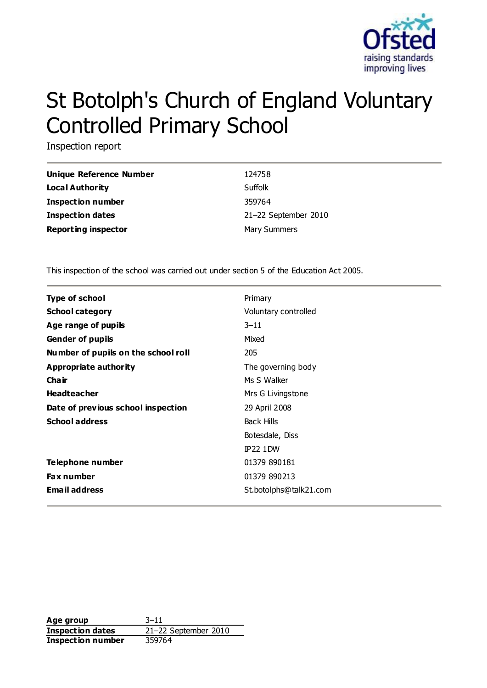

# St Botolph's Church of England Voluntary Controlled Primary School

Inspection report

| Unique Reference Number    | 124758               |
|----------------------------|----------------------|
| Local Authority            | Suffolk              |
| Inspection number          | 359764               |
| <b>Inspection dates</b>    | 21-22 September 2010 |
| <b>Reporting inspector</b> | <b>Mary Summers</b>  |

This inspection of the school was carried out under section 5 of the Education Act 2005.

| <b>Type of school</b>               | Primary                |  |
|-------------------------------------|------------------------|--|
| <b>School category</b>              | Voluntary controlled   |  |
| Age range of pupils                 | $3 - 11$               |  |
| <b>Gender of pupils</b>             | Mixed                  |  |
| Number of pupils on the school roll | 205                    |  |
| Appropriate authority               | The governing body     |  |
| Cha ir                              | Ms S Walker            |  |
| <b>Headteacher</b>                  | Mrs G Livingstone      |  |
| Date of previous school inspection  | 29 April 2008          |  |
| <b>School address</b>               | <b>Back Hills</b>      |  |
|                                     | Botesdale, Diss        |  |
|                                     | <b>IP22 1DW</b>        |  |
| Telephone number                    | 01379 890181           |  |
| <b>Fax number</b>                   | 01379 890213           |  |
| <b>Email address</b>                | St.botolphs@talk21.com |  |
|                                     |                        |  |

**Age group** 3–11 **Inspection dates** 21–22 September 2010 **Inspection number** 359764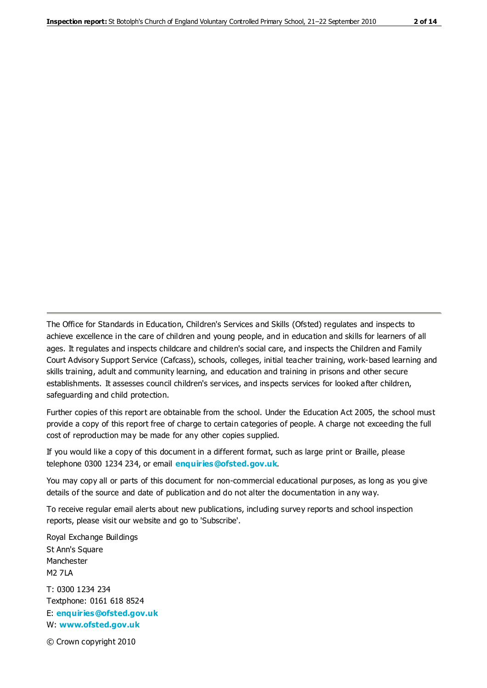The Office for Standards in Education, Children's Services and Skills (Ofsted) regulates and inspects to achieve excellence in the care of children and young people, and in education and skills for learners of all ages. It regulates and inspects childcare and children's social care, and inspects the Children and Family Court Advisory Support Service (Cafcass), schools, colleges, initial teacher training, work-based learning and skills training, adult and community learning, and education and training in prisons and other secure establishments. It assesses council children's services, and inspects services for looked after children, safeguarding and child protection.

Further copies of this report are obtainable from the school. Under the Education Act 2005, the school must provide a copy of this report free of charge to certain categories of people. A charge not exceeding the full cost of reproduction may be made for any other copies supplied.

If you would like a copy of this document in a different format, such as large print or Braille, please telephone 0300 1234 234, or email **[enquiries@ofsted.gov.uk](mailto:enquiries@ofsted.gov.uk)**.

You may copy all or parts of this document for non-commercial educational purposes, as long as you give details of the source and date of publication and do not alter the documentation in any way.

To receive regular email alerts about new publications, including survey reports and school inspection reports, please visit our website and go to 'Subscribe'.

Royal Exchange Buildings St Ann's Square Manchester M2 7LA T: 0300 1234 234 Textphone: 0161 618 8524 E: **[enquiries@ofsted.gov.uk](mailto:enquiries@ofsted.gov.uk)**

W: **[www.ofsted.gov.uk](http://www.ofsted.gov.uk/)**

© Crown copyright 2010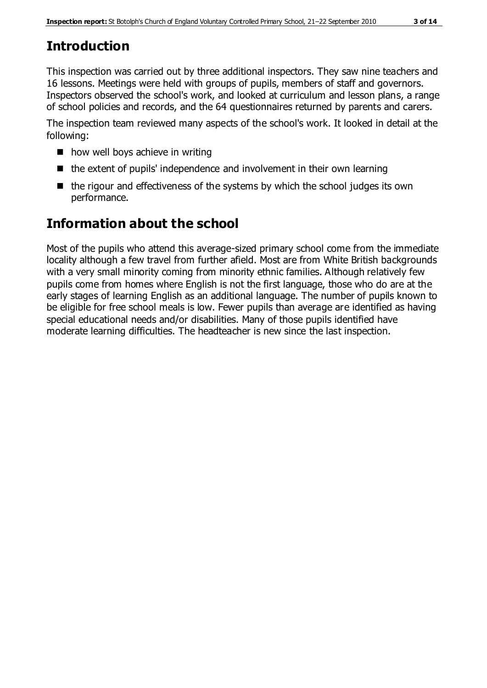# **Introduction**

This inspection was carried out by three additional inspectors. They saw nine teachers and 16 lessons. Meetings were held with groups of pupils, members of staff and governors. Inspectors observed the school's work, and looked at curriculum and lesson plans, a range of school policies and records, and the 64 questionnaires returned by parents and carers.

The inspection team reviewed many aspects of the school's work. It looked in detail at the following:

- $\blacksquare$  how well boys achieve in writing
- $\blacksquare$  the extent of pupils' independence and involvement in their own learning
- $\blacksquare$  the rigour and effectiveness of the systems by which the school judges its own performance.

# **Information about the school**

Most of the pupils who attend this average-sized primary school come from the immediate locality although a few travel from further afield. Most are from White British backgrounds with a very small minority coming from minority ethnic families. Although relatively few pupils come from homes where English is not the first language, those who do are at the early stages of learning English as an additional language. The number of pupils known to be eligible for free school meals is low. Fewer pupils than average are identified as having special educational needs and/or disabilities. Many of those pupils identified have moderate learning difficulties. The headteacher is new since the last inspection.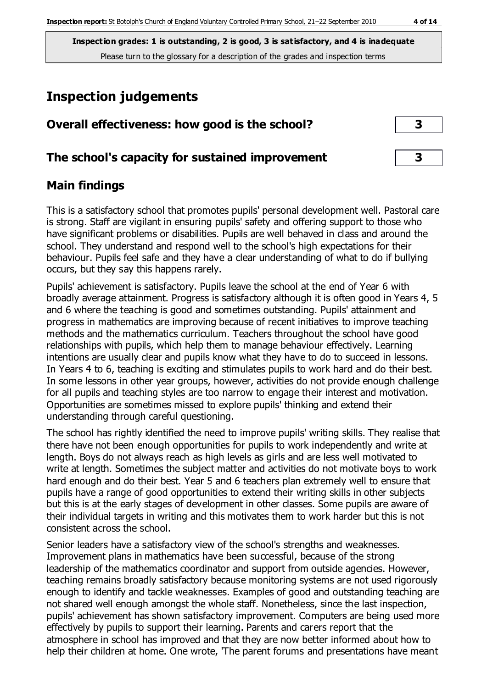# **Inspection judgements**

| Overall effectiveness: how good is the school?  |  |
|-------------------------------------------------|--|
| The school's capacity for sustained improvement |  |

## **Main findings**

This is a satisfactory school that promotes pupils' personal development well. Pastoral care is strong. Staff are vigilant in ensuring pupils' safety and offering support to those who have significant problems or disabilities. Pupils are well behaved in class and around the school. They understand and respond well to the school's high expectations for their behaviour. Pupils feel safe and they have a clear understanding of what to do if bullying occurs, but they say this happens rarely.

Pupils' achievement is satisfactory. Pupils leave the school at the end of Year 6 with broadly average attainment. Progress is satisfactory although it is often good in Years 4, 5 and 6 where the teaching is good and sometimes outstanding. Pupils' attainment and progress in mathematics are improving because of recent initiatives to improve teaching methods and the mathematics curriculum. Teachers throughout the school have good relationships with pupils, which help them to manage behaviour effectively. Learning intentions are usually clear and pupils know what they have to do to succeed in lessons. In Years 4 to 6, teaching is exciting and stimulates pupils to work hard and do their best. In some lessons in other year groups, however, activities do not provide enough challenge for all pupils and teaching styles are too narrow to engage their interest and motivation. Opportunities are sometimes missed to explore pupils' thinking and extend their understanding through careful questioning.

The school has rightly identified the need to improve pupils' writing skills. They realise that there have not been enough opportunities for pupils to work independently and write at length. Boys do not always reach as high levels as girls and are less well motivated to write at length. Sometimes the subject matter and activities do not motivate boys to work hard enough and do their best. Year 5 and 6 teachers plan extremely well to ensure that pupils have a range of good opportunities to extend their writing skills in other subjects but this is at the early stages of development in other classes. Some pupils are aware of their individual targets in writing and this motivates them to work harder but this is not consistent across the school.

Senior leaders have a satisfactory view of the school's strengths and weaknesses. Improvement plans in mathematics have been successful, because of the strong leadership of the mathematics coordinator and support from outside agencies. However, teaching remains broadly satisfactory because monitoring systems are not used rigorously enough to identify and tackle weaknesses. Examples of good and outstanding teaching are not shared well enough amongst the whole staff. Nonetheless, since the last inspection, pupils' achievement has shown satisfactory improvement. Computers are being used more effectively by pupils to support their learning. Parents and carers report that the atmosphere in school has improved and that they are now better informed about how to help their children at home. One wrote, 'The parent forums and presentations have meant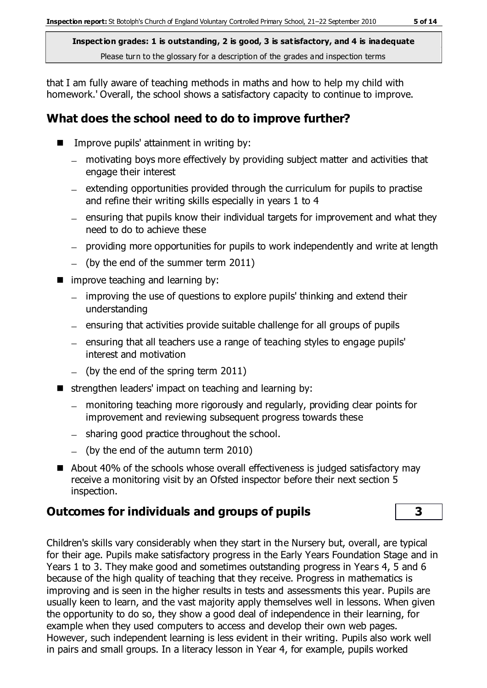that I am fully aware of teaching methods in maths and how to help my child with homework.' Overall, the school shows a satisfactory capacity to continue to improve.

## **What does the school need to do to improve further?**

- $\blacksquare$  Improve pupils' attainment in writing by:
	- motivating boys more effectively by providing subject matter and activities that engage their interest
	- $-$  extending opportunities provided through the curriculum for pupils to practise and refine their writing skills especially in years 1 to 4
	- $-$  ensuring that pupils know their individual targets for improvement and what they need to do to achieve these
	- providing more opportunities for pupils to work independently and write at length
	- $-$  (by the end of the summer term 2011)
- **n** improve teaching and learning by:
	- improving the use of questions to explore pupils' thinking and extend their understanding
	- $-$  ensuring that activities provide suitable challenge for all groups of pupils
	- ensuring that all teachers use a range of teaching styles to engage pupils' interest and motivation
	- $-$  (by the end of the spring term 2011)
- $\blacksquare$  strengthen leaders' impact on teaching and learning by:
	- monitoring teaching more rigorously and regularly, providing clear points for improvement and reviewing subsequent progress towards these
	- sharing good practice throughout the school.
	- $-$  (by the end of the autumn term 2010)
- About 40% of the schools whose overall effectiveness is judged satisfactory may receive a monitoring visit by an Ofsted inspector before their next section 5 inspection.

## **Outcomes for individuals and groups of pupils 3**

Children's skills vary considerably when they start in the Nursery but, overall, are typical for their age. Pupils make satisfactory progress in the Early Years Foundation Stage and in Years 1 to 3. They make good and sometimes outstanding progress in Years 4, 5 and 6 because of the high quality of teaching that they receive. Progress in mathematics is improving and is seen in the higher results in tests and assessments this year. Pupils are usually keen to learn, and the vast majority apply themselves well in lessons. When given the opportunity to do so, they show a good deal of independence in their learning, for example when they used computers to access and develop their own web pages. However, such independent learning is less evident in their writing. Pupils also work well in pairs and small groups. In a literacy lesson in Year 4, for example, pupils worked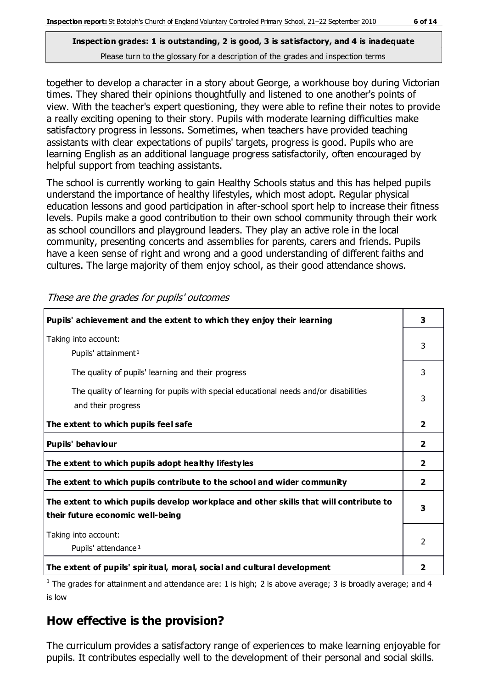together to develop a character in a story about George, a workhouse boy during Victorian times. They shared their opinions thoughtfully and listened to one another's points of view. With the teacher's expert questioning, they were able to refine their notes to provide a really exciting opening to their story. Pupils with moderate learning difficulties make satisfactory progress in lessons. Sometimes, when teachers have provided teaching assistants with clear expectations of pupils' targets, progress is good. Pupils who are learning English as an additional language progress satisfactorily, often encouraged by helpful support from teaching assistants.

The school is currently working to gain Healthy Schools status and this has helped pupils understand the importance of healthy lifestyles, which most adopt. Regular physical education lessons and good participation in after-school sport help to increase their fitness levels. Pupils make a good contribution to their own school community through their work as school councillors and playground leaders. They play an active role in the local community, presenting concerts and assemblies for parents, carers and friends. Pupils have a keen sense of right and wrong and a good understanding of different faiths and cultures. The large majority of them enjoy school, as their good attendance shows.

| Pupils' achievement and the extent to which they enjoy their learning                                                     | 3              |
|---------------------------------------------------------------------------------------------------------------------------|----------------|
| Taking into account:<br>Pupils' attainment <sup>1</sup>                                                                   | 3              |
| The quality of pupils' learning and their progress                                                                        | 3              |
| The quality of learning for pupils with special educational needs and/or disabilities<br>and their progress               | 3              |
| The extent to which pupils feel safe                                                                                      | $\overline{2}$ |
| Pupils' behaviour                                                                                                         | 2              |
| The extent to which pupils adopt healthy lifestyles                                                                       | 2              |
| The extent to which pupils contribute to the school and wider community                                                   | $\mathbf{2}$   |
| The extent to which pupils develop workplace and other skills that will contribute to<br>their future economic well-being | 3              |
| Taking into account:<br>Pupils' attendance <sup>1</sup>                                                                   | 2              |
| The extent of pupils' spiritual, moral, social and cultural development                                                   |                |

These are the grades for pupils' outcomes

<sup>1</sup> The grades for attainment and attendance are: 1 is high; 2 is above average; 3 is broadly average; and 4 is low

## **How effective is the provision?**

The curriculum provides a satisfactory range of experiences to make learning enjoyable for pupils. It contributes especially well to the development of their personal and social skills.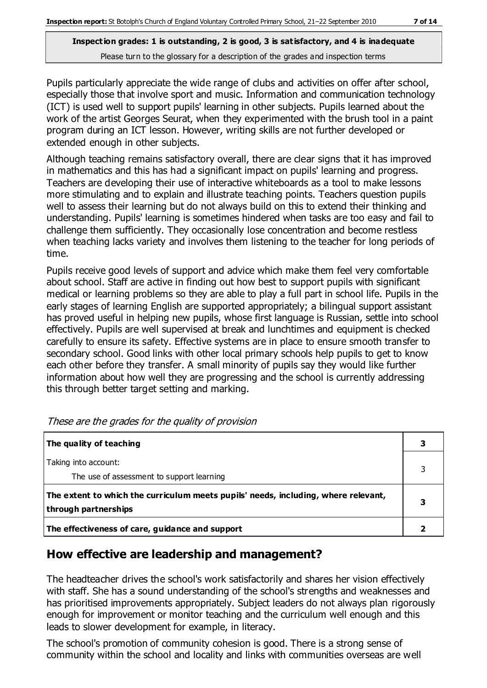Pupils particularly appreciate the wide range of clubs and activities on offer after school, especially those that involve sport and music. Information and communication technology (ICT) is used well to support pupils' learning in other subjects. Pupils learned about the work of the artist Georges Seurat, when they experimented with the brush tool in a paint program during an ICT lesson. However, writing skills are not further developed or extended enough in other subjects.

Although teaching remains satisfactory overall, there are clear signs that it has improved in mathematics and this has had a significant impact on pupils' learning and progress. Teachers are developing their use of interactive whiteboards as a tool to make lessons more stimulating and to explain and illustrate teaching points. Teachers question pupils well to assess their learning but do not always build on this to extend their thinking and understanding. Pupils' learning is sometimes hindered when tasks are too easy and fail to challenge them sufficiently. They occasionally lose concentration and become restless when teaching lacks variety and involves them listening to the teacher for long periods of time.

Pupils receive good levels of support and advice which make them feel very comfortable about school. Staff are active in finding out how best to support pupils with significant medical or learning problems so they are able to play a full part in school life. Pupils in the early stages of learning English are supported appropriately; a bilingual support assistant has proved useful in helping new pupils, whose first language is Russian, settle into school effectively. Pupils are well supervised at break and lunchtimes and equipment is checked carefully to ensure its safety. Effective systems are in place to ensure smooth transfer to secondary school. Good links with other local primary schools help pupils to get to know each other before they transfer. A small minority of pupils say they would like further information about how well they are progressing and the school is currently addressing this through better target setting and marking.

| The quality of teaching                                                                                    |  |
|------------------------------------------------------------------------------------------------------------|--|
| Taking into account:<br>The use of assessment to support learning                                          |  |
| The extent to which the curriculum meets pupils' needs, including, where relevant,<br>through partnerships |  |
| The effectiveness of care, guidance and support                                                            |  |

These are the grades for the quality of provision

## **How effective are leadership and management?**

The headteacher drives the school's work satisfactorily and shares her vision effectively with staff. She has a sound understanding of the school's strengths and weaknesses and has prioritised improvements appropriately. Subject leaders do not always plan rigorously enough for improvement or monitor teaching and the curriculum well enough and this leads to slower development for example, in literacy.

The school's promotion of community cohesion is good. There is a strong sense of community within the school and locality and links with communities overseas are well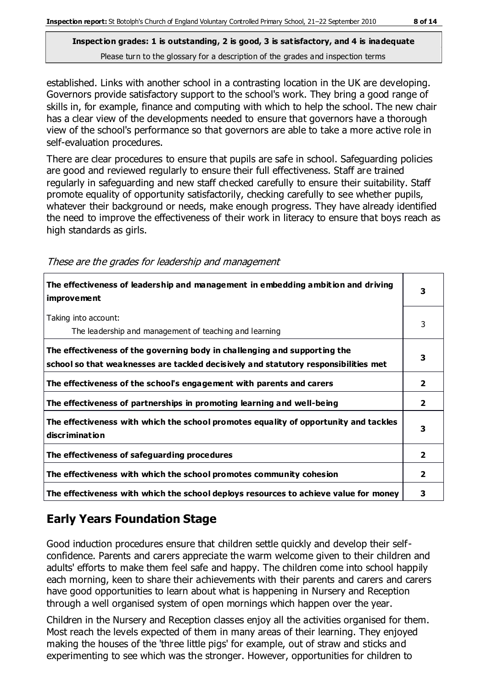established. Links with another school in a contrasting location in the UK are developing. Governors provide satisfactory support to the school's work. They bring a good range of skills in, for example, finance and computing with which to help the school. The new chair has a clear view of the developments needed to ensure that governors have a thorough view of the school's performance so that governors are able to take a more active role in self-evaluation procedures.

There are clear procedures to ensure that pupils are safe in school. Safeguarding policies are good and reviewed regularly to ensure their full effectiveness. Staff are trained regularly in safeguarding and new staff checked carefully to ensure their suitability. Staff promote equality of opportunity satisfactorily, checking carefully to see whether pupils, whatever their background or needs, make enough progress. They have already identified the need to improve the effectiveness of their work in literacy to ensure that boys reach as high standards as girls.

These are the grades for leadership and management

| The effectiveness of leadership and management in embedding ambition and driving<br><b>improvement</b>                                                           | 3              |
|------------------------------------------------------------------------------------------------------------------------------------------------------------------|----------------|
| Taking into account:<br>The leadership and management of teaching and learning                                                                                   | 3              |
| The effectiveness of the governing body in challenging and supporting the<br>school so that weaknesses are tackled decisively and statutory responsibilities met | 3              |
| The effectiveness of the school's engagement with parents and carers                                                                                             | $\overline{2}$ |
| The effectiveness of partnerships in promoting learning and well-being                                                                                           | $\mathbf{2}$   |
| The effectiveness with which the school promotes equality of opportunity and tackles<br><b>discrimination</b>                                                    | 3              |
| The effectiveness of safeguarding procedures                                                                                                                     | $\overline{2}$ |
| The effectiveness with which the school promotes community cohesion                                                                                              | 2              |
| The effectiveness with which the school deploys resources to achieve value for money                                                                             | 3              |

## **Early Years Foundation Stage**

Good induction procedures ensure that children settle quickly and develop their selfconfidence. Parents and carers appreciate the warm welcome given to their children and adults' efforts to make them feel safe and happy. The children come into school happily each morning, keen to share their achievements with their parents and carers and carers have good opportunities to learn about what is happening in Nursery and Reception through a well organised system of open mornings which happen over the year.

Children in the Nursery and Reception classes enjoy all the activities organised for them. Most reach the levels expected of them in many areas of their learning. They enjoyed making the houses of the 'three little pigs' for example, out of straw and sticks and experimenting to see which was the stronger. However, opportunities for children to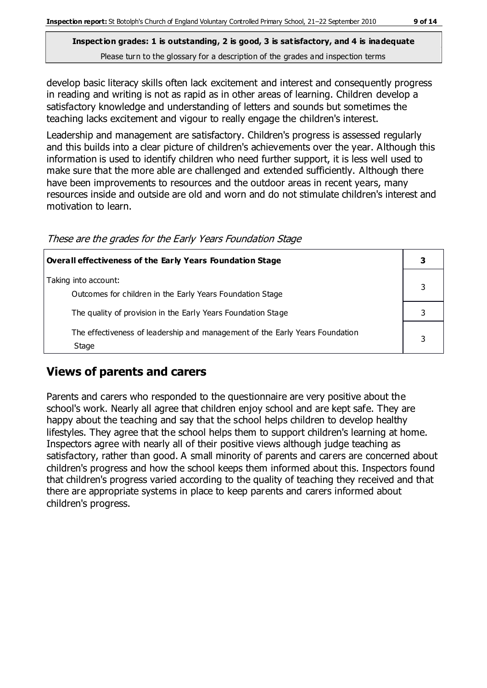develop basic literacy skills often lack excitement and interest and consequently progress in reading and writing is not as rapid as in other areas of learning. Children develop a satisfactory knowledge and understanding of letters and sounds but sometimes the teaching lacks excitement and vigour to really engage the children's interest.

Leadership and management are satisfactory. Children's progress is assessed regularly and this builds into a clear picture of children's achievements over the year. Although this information is used to identify children who need further support, it is less well used to make sure that the more able are challenged and extended sufficiently. Although there have been improvements to resources and the outdoor areas in recent years, many resources inside and outside are old and worn and do not stimulate children's interest and motivation to learn.

| <b>Overall effectiveness of the Early Years Foundation Stage</b>                      |  |
|---------------------------------------------------------------------------------------|--|
| Taking into account:<br>Outcomes for children in the Early Years Foundation Stage     |  |
| The quality of provision in the Early Years Foundation Stage                          |  |
| The effectiveness of leadership and management of the Early Years Foundation<br>Stage |  |

### **Views of parents and carers**

Parents and carers who responded to the questionnaire are very positive about the school's work. Nearly all agree that children enjoy school and are kept safe. They are happy about the teaching and say that the school helps children to develop healthy lifestyles. They agree that the school helps them to support children's learning at home. Inspectors agree with nearly all of their positive views although judge teaching as satisfactory, rather than good. A small minority of parents and carers are concerned about children's progress and how the school keeps them informed about this. Inspectors found that children's progress varied according to the quality of teaching they received and that there are appropriate systems in place to keep parents and carers informed about children's progress.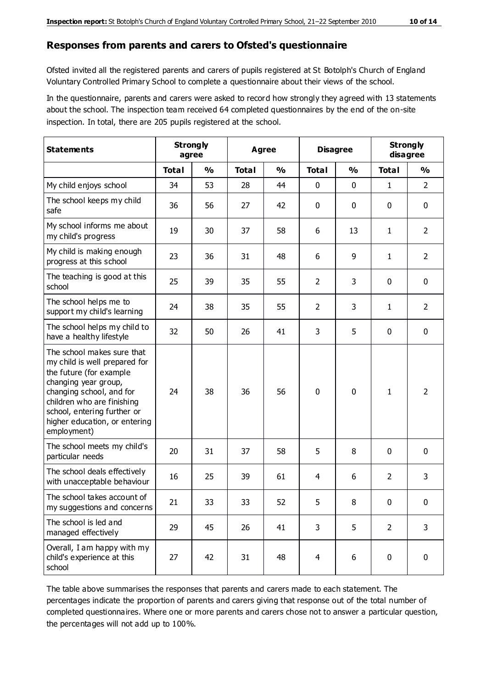#### **Responses from parents and carers to Ofsted's questionnaire**

Ofsted invited all the registered parents and carers of pupils registered at St Botolph's Church of England Voluntary Controlled Primary School to complete a questionnaire about their views of the school.

In the questionnaire, parents and carers were asked to record how strongly they agreed with 13 statements about the school. The inspection team received 64 completed questionnaires by the end of the on-site inspection. In total, there are 205 pupils registered at the school.

| <b>Statements</b>                                                                                                                                                                                                                                       | <b>Strongly</b><br>agree |               |              | <b>Agree</b>  |                | <b>Disagree</b> |                | <b>Strongly</b><br>disagree |
|---------------------------------------------------------------------------------------------------------------------------------------------------------------------------------------------------------------------------------------------------------|--------------------------|---------------|--------------|---------------|----------------|-----------------|----------------|-----------------------------|
|                                                                                                                                                                                                                                                         | <b>Total</b>             | $\frac{0}{0}$ | <b>Total</b> | $\frac{0}{0}$ | <b>Total</b>   | $\frac{0}{0}$   | <b>Total</b>   | $\frac{1}{2}$               |
| My child enjoys school                                                                                                                                                                                                                                  | 34                       | 53            | 28           | 44            | 0              | 0               | 1              | $\overline{2}$              |
| The school keeps my child<br>safe                                                                                                                                                                                                                       | 36                       | 56            | 27           | 42            | 0              | 0               | $\mathbf 0$    | $\mathbf 0$                 |
| My school informs me about<br>my child's progress                                                                                                                                                                                                       | 19                       | 30            | 37           | 58            | 6              | 13              | $\mathbf{1}$   | $\overline{2}$              |
| My child is making enough<br>progress at this school                                                                                                                                                                                                    | 23                       | 36            | 31           | 48            | 6              | 9               | 1              | $\overline{2}$              |
| The teaching is good at this<br>school                                                                                                                                                                                                                  | 25                       | 39            | 35           | 55            | $\overline{2}$ | 3               | $\mathbf 0$    | $\mathbf 0$                 |
| The school helps me to<br>support my child's learning                                                                                                                                                                                                   | 24                       | 38            | 35           | 55            | $\overline{2}$ | 3               | 1              | $\overline{2}$              |
| The school helps my child to<br>have a healthy lifestyle                                                                                                                                                                                                | 32                       | 50            | 26           | 41            | 3              | 5               | $\mathbf 0$    | $\mathbf 0$                 |
| The school makes sure that<br>my child is well prepared for<br>the future (for example<br>changing year group,<br>changing school, and for<br>children who are finishing<br>school, entering further or<br>higher education, or entering<br>employment) | 24                       | 38            | 36           | 56            | $\mathbf 0$    | 0               | $\mathbf{1}$   | $\overline{2}$              |
| The school meets my child's<br>particular needs                                                                                                                                                                                                         | 20                       | 31            | 37           | 58            | 5              | 8               | $\mathbf 0$    | $\mathbf 0$                 |
| The school deals effectively<br>with unacceptable behaviour                                                                                                                                                                                             | 16                       | 25            | 39           | 61            | 4              | 6               | $\overline{2}$ | 3                           |
| The school takes account of<br>my suggestions and concerns                                                                                                                                                                                              | 21                       | 33            | 33           | 52            | 5              | 8               | 0              | 0                           |
| The school is led and<br>managed effectively                                                                                                                                                                                                            | 29                       | 45            | 26           | 41            | 3              | 5               | $\overline{2}$ | 3                           |
| Overall, I am happy with my<br>child's experience at this<br>school                                                                                                                                                                                     | 27                       | 42            | 31           | 48            | $\overline{4}$ | 6               | $\mathbf 0$    | $\mathbf 0$                 |

The table above summarises the responses that parents and carers made to each statement. The percentages indicate the proportion of parents and carers giving that response out of the total number of completed questionnaires. Where one or more parents and carers chose not to answer a particular question, the percentages will not add up to 100%.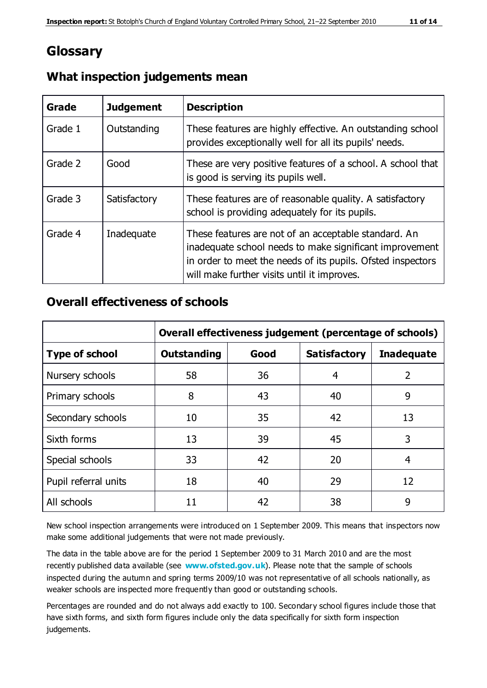## **Glossary**

| Grade   | <b>Judgement</b> | <b>Description</b>                                                                                                                                                                                                            |
|---------|------------------|-------------------------------------------------------------------------------------------------------------------------------------------------------------------------------------------------------------------------------|
| Grade 1 | Outstanding      | These features are highly effective. An outstanding school<br>provides exceptionally well for all its pupils' needs.                                                                                                          |
| Grade 2 | Good             | These are very positive features of a school. A school that<br>is good is serving its pupils well.                                                                                                                            |
| Grade 3 | Satisfactory     | These features are of reasonable quality. A satisfactory<br>school is providing adequately for its pupils.                                                                                                                    |
| Grade 4 | Inadequate       | These features are not of an acceptable standard. An<br>inadequate school needs to make significant improvement<br>in order to meet the needs of its pupils. Ofsted inspectors<br>will make further visits until it improves. |

## **What inspection judgements mean**

## **Overall effectiveness of schools**

|                       | Overall effectiveness judgement (percentage of schools) |      |                     |                   |
|-----------------------|---------------------------------------------------------|------|---------------------|-------------------|
| <b>Type of school</b> | <b>Outstanding</b>                                      | Good | <b>Satisfactory</b> | <b>Inadequate</b> |
| Nursery schools       | 58                                                      | 36   | 4                   | 2                 |
| Primary schools       | 8                                                       | 43   | 40                  | 9                 |
| Secondary schools     | 10                                                      | 35   | 42                  | 13                |
| Sixth forms           | 13                                                      | 39   | 45                  | 3                 |
| Special schools       | 33                                                      | 42   | 20                  | 4                 |
| Pupil referral units  | 18                                                      | 40   | 29                  | 12                |
| All schools           | 11                                                      | 42   | 38                  | 9                 |

New school inspection arrangements were introduced on 1 September 2009. This means that inspectors now make some additional judgements that were not made previously.

The data in the table above are for the period 1 September 2009 to 31 March 2010 and are the most recently published data available (see **[www.ofsted.gov.uk](http://www.ofsted.gov.uk/)**). Please note that the sample of schools inspected during the autumn and spring terms 2009/10 was not representative of all schools nationally, as weaker schools are inspected more frequently than good or outstanding schools.

Percentages are rounded and do not always add exactly to 100. Secondary school figures include those that have sixth forms, and sixth form figures include only the data specifically for sixth form inspection judgements.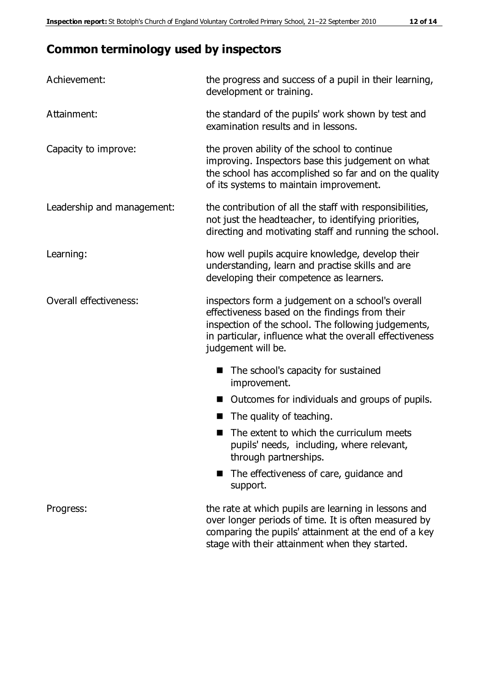# **Common terminology used by inspectors**

| Achievement:               | the progress and success of a pupil in their learning,<br>development or training.                                                                                                                                                          |  |  |
|----------------------------|---------------------------------------------------------------------------------------------------------------------------------------------------------------------------------------------------------------------------------------------|--|--|
| Attainment:                | the standard of the pupils' work shown by test and<br>examination results and in lessons.                                                                                                                                                   |  |  |
| Capacity to improve:       | the proven ability of the school to continue<br>improving. Inspectors base this judgement on what<br>the school has accomplished so far and on the quality<br>of its systems to maintain improvement.                                       |  |  |
| Leadership and management: | the contribution of all the staff with responsibilities,<br>not just the headteacher, to identifying priorities,<br>directing and motivating staff and running the school.                                                                  |  |  |
| Learning:                  | how well pupils acquire knowledge, develop their<br>understanding, learn and practise skills and are<br>developing their competence as learners.                                                                                            |  |  |
| Overall effectiveness:     | inspectors form a judgement on a school's overall<br>effectiveness based on the findings from their<br>inspection of the school. The following judgements,<br>in particular, influence what the overall effectiveness<br>judgement will be. |  |  |
|                            | The school's capacity for sustained<br>improvement.                                                                                                                                                                                         |  |  |
|                            | Outcomes for individuals and groups of pupils.                                                                                                                                                                                              |  |  |
|                            | The quality of teaching.                                                                                                                                                                                                                    |  |  |
|                            | The extent to which the curriculum meets<br>pupils' needs, including, where relevant,<br>through partnerships.                                                                                                                              |  |  |
|                            | The effectiveness of care, guidance and<br>support.                                                                                                                                                                                         |  |  |
| Progress:                  | the rate at which pupils are learning in lessons and<br>over longer periods of time. It is often measured by<br>comparing the pupils' attainment at the end of a key                                                                        |  |  |

stage with their attainment when they started.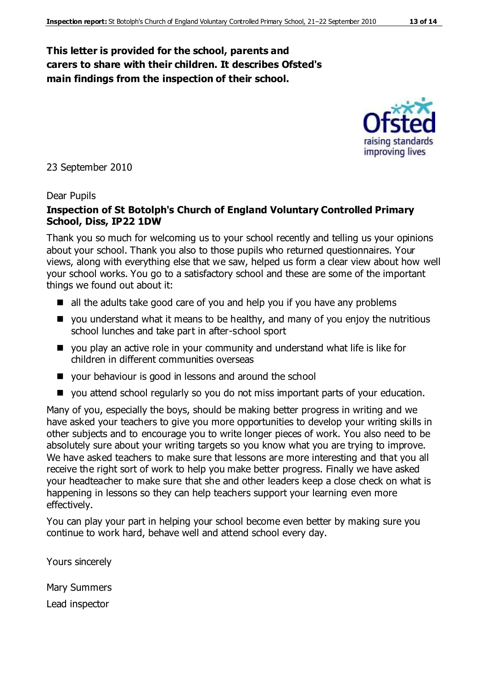#### **This letter is provided for the school, parents and carers to share with their children. It describes Ofsted's main findings from the inspection of their school.**

23 September 2010

#### Dear Pupils

#### **Inspection of St Botolph's Church of England Voluntary Controlled Primary School, Diss, IP22 1DW**

Thank you so much for welcoming us to your school recently and telling us your opinions about your school. Thank you also to those pupils who returned questionnaires. Your views, along with everything else that we saw, helped us form a clear view about how well your school works. You go to a satisfactory school and these are some of the important things we found out about it:

- all the adults take good care of you and help you if you have any problems
- $\blacksquare$  you understand what it means to be healthy, and many of you enjoy the nutritious school lunches and take part in after-school sport
- you play an active role in your community and understand what life is like for children in different communities overseas
- your behaviour is good in lessons and around the school
- you attend school regularly so you do not miss important parts of your education.

Many of you, especially the boys, should be making better progress in writing and we have asked your teachers to give you more opportunities to develop your writing skills in other subjects and to encourage you to write longer pieces of work. You also need to be absolutely sure about your writing targets so you know what you are trying to improve. We have asked teachers to make sure that lessons are more interesting and that you all receive the right sort of work to help you make better progress. Finally we have asked your headteacher to make sure that she and other leaders keep a close check on what is happening in lessons so they can help teachers support your learning even more effectively.

You can play your part in helping your school become even better by making sure you continue to work hard, behave well and attend school every day.

Yours sincerely

Mary Summers Lead inspector